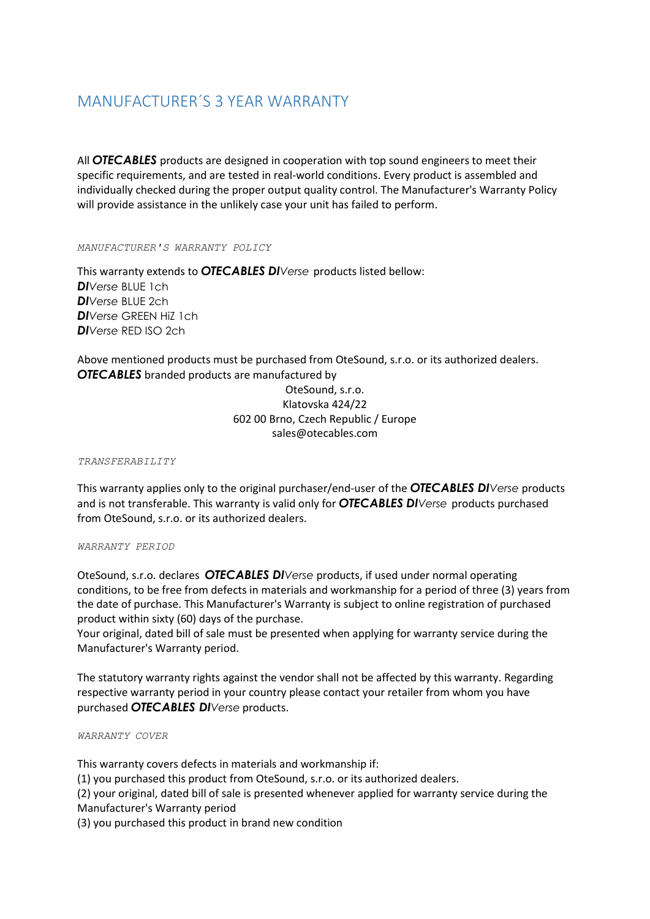# MANUFACTURER´S 3 YEAR WARRANTY

All *OTECABLES* products are designed in cooperation with top sound engineers to meet their specific requirements, and are tested in real-world conditions. Every product is assembled and individually checked during the proper output quality control. The Manufacturer's Warranty Policy will provide assistance in the unlikely case your unit has failed to perform.

*MANUFACTURER'S WARRANTY POLICY*

This warranty extends to *OTECABLES DIVerse* products listed bellow: *DIVerse* BLUE 1ch *DIVerse* BLUE 2ch *DIVerse* GREEN HiZ 1ch *DIVerse* RED ISO 2ch

Above mentioned products must be purchased from OteSound, s.r.o. or its authorized dealers. *OTECABLES* branded products are manufactured by

## OteSound, s.r.o. Klatovska 424/22 602 00 Brno, Czech Republic / Europe sales@otecables.com

*TRANSFERABILITY*

This warranty applies only to the original purchaser/end-user of the *OTECABLES DIVerse* products and is not transferable. This warranty is valid only for *OTECABLES DIVerse* products purchased from OteSound, s.r.o. or its authorized dealers.

### *WARRANTY PERIOD*

OteSound, s.r.o. declares *OTECABLES DIVerse* products, if used under normal operating conditions, to be free from defects in materials and workmanship for a period of three (3) years from the date of purchase. This Manufacturer's Warranty is subject to online registration of purchased product within sixty (60) days of the purchase.

Your original, dated bill of sale must be presented when applying for warranty service during the Manufacturer's Warranty period.

The statutory warranty rights against the vendor shall not be affected by this warranty. Regarding respective warranty period in your country please contact your retailer from whom you have purchased *OTECABLES DIVerse* products.

#### *WARRANTY COVER*

This warranty covers defects in materials and workmanship if:

(1) you purchased this product from OteSound, s.r.o. or its authorized dealers.

(2) your original, dated bill of sale is presented whenever applied for warranty service during the Manufacturer's Warranty period

(3) you purchased this product in brand new condition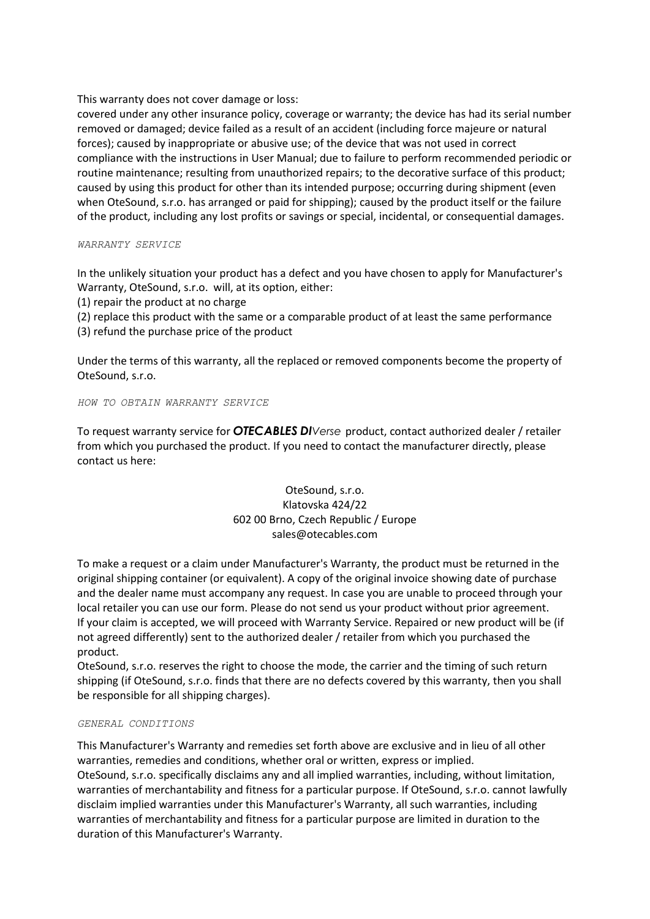This warranty does not cover damage or loss:

covered under any other insurance policy, coverage or warranty; the device has had its serial number removed or damaged; device failed as a result of an accident (including force majeure or natural forces); caused by inappropriate or abusive use; of the device that was not used in correct compliance with the instructions in User Manual; due to failure to perform recommended periodic or routine maintenance; resulting from unauthorized repairs; to the decorative surface of this product; caused by using this product for other than its intended purpose; occurring during shipment (even when OteSound, s.r.o. has arranged or paid for shipping); caused by the product itself or the failure of the product, including any lost profits or savings or special, incidental, or consequential damages.

*WARRANTY SERVICE*

In the unlikely situation your product has a defect and you have chosen to apply for Manufacturer's Warranty, OteSound, s.r.o. will, at its option, either:

(1) repair the product at no charge

(2) replace this product with the same or a comparable product of at least the same performance

(3) refund the purchase price of the product

Under the terms of this warranty, all the replaced or removed components become the property of OteSound, s.r.o.

#### *HOW TO OBTAIN WARRANTY SERVICE*

To request warranty service for *OTECABLES DIVerse* product, contact authorized dealer / retailer from which you purchased the product. If you need to contact the manufacturer directly, please contact us here:

## OteSound, s.r.o. Klatovska 424/22 602 00 Brno, Czech Republic / Europe sales@otecables.com

To make a request or a claim under Manufacturer's Warranty, the product must be returned in the original shipping container (or equivalent). A copy of the original invoice showing date of purchase and the dealer name must accompany any request. In case you are unable to proceed through your local retailer you can use our form. Please do not send us your product without prior agreement. If your claim is accepted, we will proceed with Warranty Service. Repaired or new product will be (if not agreed differently) sent to the authorized dealer / retailer from which you purchased the product.

OteSound, s.r.o. reserves the right to choose the mode, the carrier and the timing of such return shipping (if OteSound, s.r.o. finds that there are no defects covered by this warranty, then you shall be responsible for all shipping charges).

#### *GENERAL CONDITIONS*

This Manufacturer's Warranty and remedies set forth above are exclusive and in lieu of all other warranties, remedies and conditions, whether oral or written, express or implied. OteSound, s.r.o. specifically disclaims any and all implied warranties, including, without limitation, warranties of merchantability and fitness for a particular purpose. If OteSound, s.r.o. cannot lawfully disclaim implied warranties under this Manufacturer's Warranty, all such warranties, including warranties of merchantability and fitness for a particular purpose are limited in duration to the duration of this Manufacturer's Warranty.